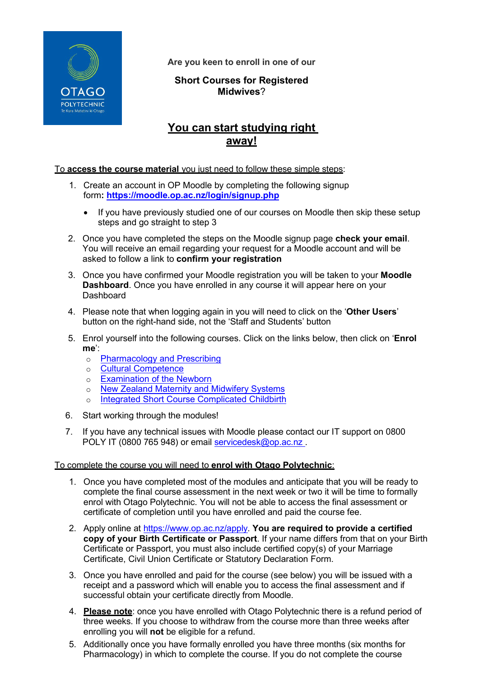

**Are you keen to enroll in one of our**

## **Short Courses for Registered Midwives**?

# **You can start studying right away!**

### To **access the course material** you just need to follow these simple steps:

- 1. Create an account in OP Moodle by completing the following signup form**: <https://moodle.op.ac.nz/login/signup.php>**
	- If you have previously studied one of our courses on Moodle then skip these setup steps and go straight to step 3
- 2. Once you have completed the steps on the Moodle signup page **check your email**. You will receive an email regarding your request for a Moodle account and will be asked to follow a link to **confirm your registration**
- 3. Once you have confirmed your Moodle registration you will be taken to your **Moodle Dashboard**. Once you have enrolled in any course it will appear here on your **Dashboard**
- 4. Please note that when logging again in you will need to click on the '**Other Users**' button on the right-hand side, not the 'Staff and Students' button
- 5. Enrol yourself into the following courses. Click on the links below, then click on '**Enrol me**':
	- o [Pharmacology](https://moodle.op.ac.nz/enrol/index.php?id=3806) and Prescribing
	- o Cultural [Competence](https://moodle.op.ac.nz/enrol/index.php?id=1633)
	- o [Examination](https://moodle.op.ac.nz/enrol/index.php?id=3969) of the Newborn
	- o New Zealand Maternity and [Midwifery](https://moodle.op.ac.nz/enrol/index.php?id=1631) Systems
	- o Integrated Short Course [Complicated](https://moodle.op.ac.nz/enrol/index.php?id=2816) Childbirth
- 6. Start working through the modules!
- 7. If you have any technical issues with Moodle please contact our IT support on 0800 POLY IT (0800 765 948) or email [servicedesk@op.ac.nz](mailto:servicedesk@op.ac.nz).

#### To complete the course you will need to **enrol with Otago Polytechnic**:

- 1. Once you have completed most of the modules and anticipate that you will be ready to complete the final course assessment in the next week or two it will be time to formally enrol with Otago Polytechnic. You will not be able to access the final assessment or certificate of completion until you have enrolled and paid the course fee.
- 2. Apply online at [https://www.op.ac.nz/apply.](https://www.op.ac.nz/apply) **You are required to provide a certified copy of your Birth Certificate or Passport**. If your name differs from that on your Birth Certificate or Passport, you must also include certified copy(s) of your Marriage Certificate, Civil Union Certificate or Statutory Declaration Form.
- 3. Once you have enrolled and paid for the course (see below) you will be issued with a receipt and a password which will enable you to access the final assessment and if successful obtain your certificate directly from Moodle.
- 4. **Please note**: once you have enrolled with Otago Polytechnic there is a refund period of three weeks. If you choose to withdraw from the course more than three weeks after enrolling you will **not** be eligible for a refund.
- 5. Additionally once you have formally enrolled you have three months (six months for Pharmacology) in which to complete the course. If you do not complete the course